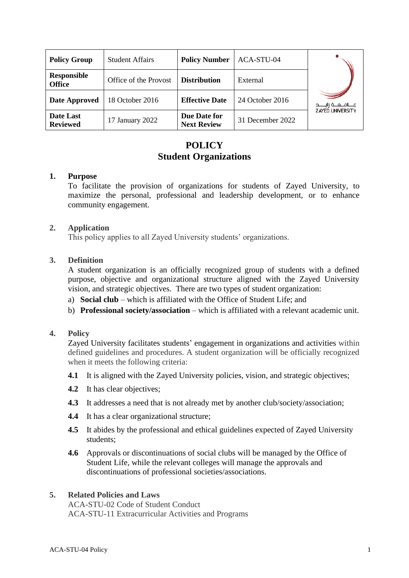| <b>Policy Group</b>                 | <b>Student Affairs</b> | <b>Policy Number</b>               | ACA-STU-04       |                           |
|-------------------------------------|------------------------|------------------------------------|------------------|---------------------------|
| <b>Responsible</b><br><b>Office</b> | Office of the Provost  | <b>Distribution</b>                | External         |                           |
| Date Approved                       | 18 October 2016        | <b>Effective Date</b>              | 24 October 2016  | مــــامـــعـــة زايـــــد |
| Date Last<br><b>Reviewed</b>        | 17 January 2022        | Due Date for<br><b>Next Review</b> | 31 December 2022 | <b>ZAYED UNIVERSITY</b>   |

# **POLICY Student Organizations**

### **1. Purpose**

To facilitate the provision of organizations for students of Zayed University, to maximize the personal, professional and leadership development, or to enhance community engagement.

### **2. Application**

This policy applies to all Zayed University students' organizations.

## **3. Definition**

A student organization is an officially recognized group of students with a defined purpose, objective and organizational structure aligned with the Zayed University vision, and strategic objectives. There are two types of student organization:

- a) **Social club** which is affiliated with the Office of Student Life; and
- b) **Professional society/association** which is affiliated with a relevant academic unit.

## **4. Policy**

Zayed University facilitates students' engagement in organizations and activities within defined guidelines and procedures. A student organization will be officially recognized when it meets the following criteria:

- **4.1** It is aligned with the Zayed University policies, vision, and strategic objectives;
- **4.2** It has clear objectives;
- **4.3** It addresses a need that is not already met by another club/society/association;
- **4.4** It has a clear organizational structure;
- **4.5** It abides by the professional and ethical guidelines expected of Zayed University students;
- **4.6** Approvals or discontinuations of social clubs will be managed by the Office of Student Life, while the relevant colleges will manage the approvals and discontinuations of professional societies/associations.

#### **5. Related Policies and Laws**

ACA-STU-02 Code of Student Conduct ACA-STU-11 Extracurricular Activities and Programs